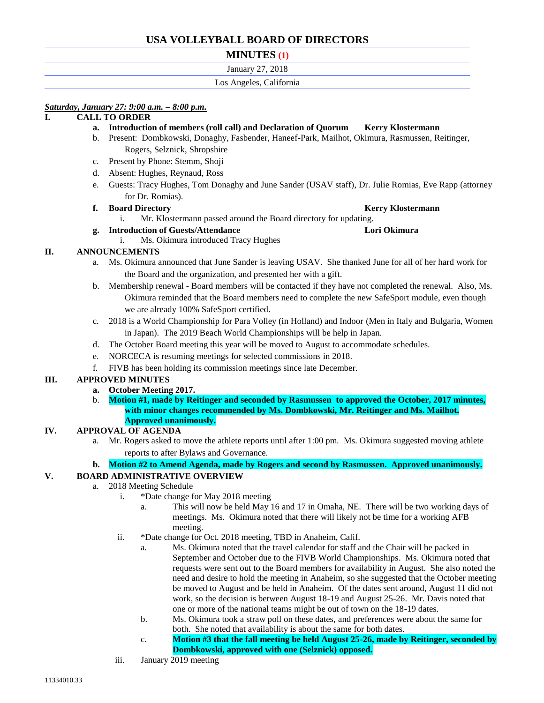# **USA VOLLEYBALL BOARD OF DIRECTORS**

# **MINUTES (1)**

## January 27, 2018

## Los Angeles, California

# *Saturday, January 27: 9:00 a.m. – 8:00 p.m.*

# **I. CALL TO ORDER**

- **a. Introduction of members (roll call) and Declaration of Quorum Kerry Klostermann**
- b. Present: Dombkowski, Donaghy, Fasbender, Haneef-Park, Mailhot, Okimura, Rasmussen, Reitinger, Rogers, Selznick, Shropshire
- c. Present by Phone: Stemm, Shoji
- d. Absent: Hughes, Reynaud, Ross
- e. Guests: Tracy Hughes, Tom Donaghy and June Sander (USAV staff), Dr. Julie Romias, Eve Rapp (attorney for Dr. Romias).

## **f. Board Directory Kerry Klostermann**

i. Mr. Klostermann passed around the Board directory for updating.

## **g. Introduction of Guests/Attendance Lori Okimura**

i. Ms. Okimura introduced Tracy Hughes

# **II. ANNOUNCEMENTS**

- a. Ms. Okimura announced that June Sander is leaving USAV. She thanked June for all of her hard work for the Board and the organization, and presented her with a gift.
- b. Membership renewal Board members will be contacted if they have not completed the renewal. Also, Ms. Okimura reminded that the Board members need to complete the new SafeSport module, even though we are already 100% SafeSport certified.
- c. 2018 is a World Championship for Para Volley (in Holland) and Indoor (Men in Italy and Bulgaria, Women in Japan). The 2019 Beach World Championships will be help in Japan.
- d. The October Board meeting this year will be moved to August to accommodate schedules.
- e. NORCECA is resuming meetings for selected commissions in 2018.
- f. FIVB has been holding its commission meetings since late December.

# **III. APPROVED MINUTES**

- **a. October Meeting 2017.**
- b. **Motion #1, made by Reitinger and seconded by Rasmussen to approved the October, 2017 minutes, with minor changes recommended by Ms. Dombkowski, Mr. Reitinger and Ms. Mailhot. Approved unanimously.**

# **IV. APPROVAL OF AGENDA**

a. Mr. Rogers asked to move the athlete reports until after 1:00 pm. Ms. Okimura suggested moving athlete reports to after Bylaws and Governance.

# **b. Motion #2 to Amend Agenda, made by Rogers and second by Rasmussen. Approved unanimously.**

# **V. BOARD ADMINISTRATIVE OVERVIEW**

- a. 2018 Meeting Schedule
	- i. \*Date change for May 2018 meeting
		- a. This will now be held May 16 and 17 in Omaha, NE. There will be two working days of meetings. Ms. Okimura noted that there will likely not be time for a working AFB meeting.
	- ii. \*Date change for Oct. 2018 meeting, TBD in Anaheim, Calif.
		- a. Ms. Okimura noted that the travel calendar for staff and the Chair will be packed in September and October due to the FIVB World Championships. Ms. Okimura noted that requests were sent out to the Board members for availability in August. She also noted the need and desire to hold the meeting in Anaheim, so she suggested that the October meeting be moved to August and be held in Anaheim. Of the dates sent around, August 11 did not work, so the decision is between August 18-19 and August 25-26. Mr. Davis noted that one or more of the national teams might be out of town on the 18-19 dates.
		- b. Ms. Okimura took a straw poll on these dates, and preferences were about the same for both. She noted that availability is about the same for both dates.
		- c. **Motion #3 that the fall meeting be held August 25-26, made by Reitinger, seconded by Dombkowski, approved with one (Selznick) opposed.**
	- iii. January 2019 meeting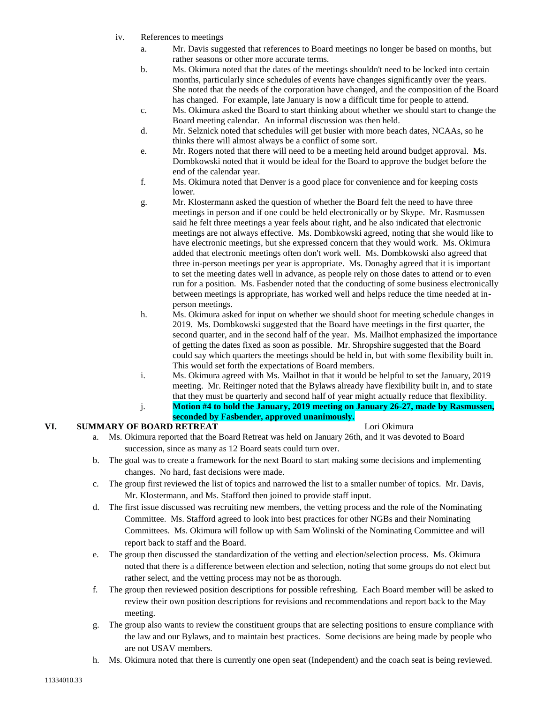- iv. References to meetings
	- a. Mr. Davis suggested that references to Board meetings no longer be based on months, but rather seasons or other more accurate terms.
	- b. Ms. Okimura noted that the dates of the meetings shouldn't need to be locked into certain months, particularly since schedules of events have changes significantly over the years. She noted that the needs of the corporation have changed, and the composition of the Board has changed. For example, late January is now a difficult time for people to attend.
	- c. Ms. Okimura asked the Board to start thinking about whether we should start to change the Board meeting calendar. An informal discussion was then held.
	- d. Mr. Selznick noted that schedules will get busier with more beach dates, NCAAs, so he thinks there will almost always be a conflict of some sort.
	- e. Mr. Rogers noted that there will need to be a meeting held around budget approval. Ms. Dombkowski noted that it would be ideal for the Board to approve the budget before the end of the calendar year.
	- f. Ms. Okimura noted that Denver is a good place for convenience and for keeping costs lower.
	- g. Mr. Klostermann asked the question of whether the Board felt the need to have three meetings in person and if one could be held electronically or by Skype. Mr. Rasmussen said he felt three meetings a year feels about right, and he also indicated that electronic meetings are not always effective. Ms. Dombkowski agreed, noting that she would like to have electronic meetings, but she expressed concern that they would work. Ms. Okimura added that electronic meetings often don't work well. Ms. Dombkowski also agreed that three in-person meetings per year is appropriate. Ms. Donaghy agreed that it is important to set the meeting dates well in advance, as people rely on those dates to attend or to even run for a position. Ms. Fasbender noted that the conducting of some business electronically between meetings is appropriate, has worked well and helps reduce the time needed at inperson meetings.
	- h. Ms. Okimura asked for input on whether we should shoot for meeting schedule changes in 2019. Ms. Dombkowski suggested that the Board have meetings in the first quarter, the second quarter, and in the second half of the year. Ms. Mailhot emphasized the importance of getting the dates fixed as soon as possible. Mr. Shropshire suggested that the Board could say which quarters the meetings should be held in, but with some flexibility built in. This would set forth the expectations of Board members.
	- i. Ms. Okimura agreed with Ms. Mailhot in that it would be helpful to set the January, 2019 meeting. Mr. Reitinger noted that the Bylaws already have flexibility built in, and to state that they must be quarterly and second half of year might actually reduce that flexibility.
	- j. **Motion #4 to hold the January, 2019 meeting on January 26-27, made by Rasmussen, seconded by Fasbender, approved unanimously.**

# **VI. SUMMARY OF BOARD RETREAT LORIGIZER LORIGIZER LORIGIZER LORIGIZER LORIGIZER LORIGIZER LORIGIZER LORIGIZER LORIGIZER LORIGIZER LORIGIZER LORIGIZER LORIGIZER LORIGIZER LORIGIZER LORIGIZER LORIGIZER LORIGIZER LORIGIZER LO**

- a. Ms. Okimura reported that the Board Retreat was held on January 26th, and it was devoted to Board succession, since as many as 12 Board seats could turn over.
- b. The goal was to create a framework for the next Board to start making some decisions and implementing changes. No hard, fast decisions were made.
- c. The group first reviewed the list of topics and narrowed the list to a smaller number of topics. Mr. Davis, Mr. Klostermann, and Ms. Stafford then joined to provide staff input.
- d. The first issue discussed was recruiting new members, the vetting process and the role of the Nominating Committee. Ms. Stafford agreed to look into best practices for other NGBs and their Nominating Committees. Ms. Okimura will follow up with Sam Wolinski of the Nominating Committee and will report back to staff and the Board.
- e. The group then discussed the standardization of the vetting and election/selection process. Ms. Okimura noted that there is a difference between election and selection, noting that some groups do not elect but rather select, and the vetting process may not be as thorough.
- f. The group then reviewed position descriptions for possible refreshing. Each Board member will be asked to review their own position descriptions for revisions and recommendations and report back to the May meeting.
- g. The group also wants to review the constituent groups that are selecting positions to ensure compliance with the law and our Bylaws, and to maintain best practices. Some decisions are being made by people who are not USAV members.
- h. Ms. Okimura noted that there is currently one open seat (Independent) and the coach seat is being reviewed.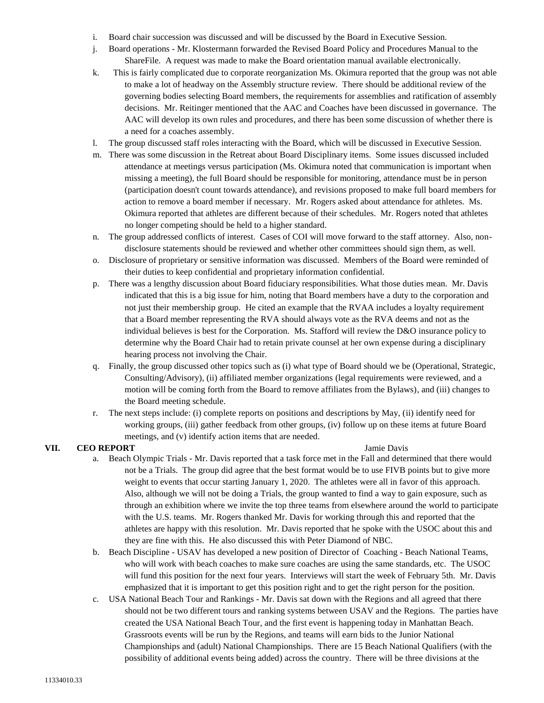- i. Board chair succession was discussed and will be discussed by the Board in Executive Session.
- j. Board operations Mr. Klostermann forwarded the Revised Board Policy and Procedures Manual to the ShareFile. A request was made to make the Board orientation manual available electronically.
- k. This is fairly complicated due to corporate reorganization Ms. Okimura reported that the group was not able to make a lot of headway on the Assembly structure review. There should be additional review of the governing bodies selecting Board members, the requirements for assemblies and ratification of assembly decisions. Mr. Reitinger mentioned that the AAC and Coaches have been discussed in governance. The AAC will develop its own rules and procedures, and there has been some discussion of whether there is a need for a coaches assembly.
- l. The group discussed staff roles interacting with the Board, which will be discussed in Executive Session.
- m. There was some discussion in the Retreat about Board Disciplinary items. Some issues discussed included attendance at meetings versus participation (Ms. Okimura noted that communication is important when missing a meeting), the full Board should be responsible for monitoring, attendance must be in person (participation doesn't count towards attendance), and revisions proposed to make full board members for action to remove a board member if necessary. Mr. Rogers asked about attendance for athletes. Ms. Okimura reported that athletes are different because of their schedules. Mr. Rogers noted that athletes no longer competing should be held to a higher standard.
- n. The group addressed conflicts of interest. Cases of COI will move forward to the staff attorney. Also, nondisclosure statements should be reviewed and whether other committees should sign them, as well.
- o. Disclosure of proprietary or sensitive information was discussed. Members of the Board were reminded of their duties to keep confidential and proprietary information confidential.
- p. There was a lengthy discussion about Board fiduciary responsibilities. What those duties mean. Mr. Davis indicated that this is a big issue for him, noting that Board members have a duty to the corporation and not just their membership group. He cited an example that the RVAA includes a loyalty requirement that a Board member representing the RVA should always vote as the RVA deems and not as the individual believes is best for the Corporation. Ms. Stafford will review the D&O insurance policy to determine why the Board Chair had to retain private counsel at her own expense during a disciplinary hearing process not involving the Chair.
- q. Finally, the group discussed other topics such as (i) what type of Board should we be (Operational, Strategic, Consulting/Advisory), (ii) affiliated member organizations (legal requirements were reviewed, and a motion will be coming forth from the Board to remove affiliates from the Bylaws), and (iii) changes to the Board meeting schedule.
- r. The next steps include: (i) complete reports on positions and descriptions by May, (ii) identify need for working groups, (iii) gather feedback from other groups, (iv) follow up on these items at future Board meetings, and (v) identify action items that are needed.

- **VII. CEO REPORT Jamie Davis** a. Beach Olympic Trials - Mr. Davis reported that a task force met in the Fall and determined that there would not be a Trials. The group did agree that the best format would be to use FIVB points but to give more weight to events that occur starting January 1, 2020. The athletes were all in favor of this approach. Also, although we will not be doing a Trials, the group wanted to find a way to gain exposure, such as through an exhibition where we invite the top three teams from elsewhere around the world to participate with the U.S. teams. Mr. Rogers thanked Mr. Davis for working through this and reported that the athletes are happy with this resolution. Mr. Davis reported that he spoke with the USOC about this and they are fine with this. He also discussed this with Peter Diamond of NBC.
	- b. Beach Discipline USAV has developed a new position of Director of Coaching Beach National Teams, who will work with beach coaches to make sure coaches are using the same standards, etc. The USOC will fund this position for the next four years. Interviews will start the week of February 5th. Mr. Davis emphasized that it is important to get this position right and to get the right person for the position.
	- c. USA National Beach Tour and Rankings Mr. Davis sat down with the Regions and all agreed that there should not be two different tours and ranking systems between USAV and the Regions. The parties have created the USA National Beach Tour, and the first event is happening today in Manhattan Beach. Grassroots events will be run by the Regions, and teams will earn bids to the Junior National Championships and (adult) National Championships. There are 15 Beach National Qualifiers (with the possibility of additional events being added) across the country. There will be three divisions at the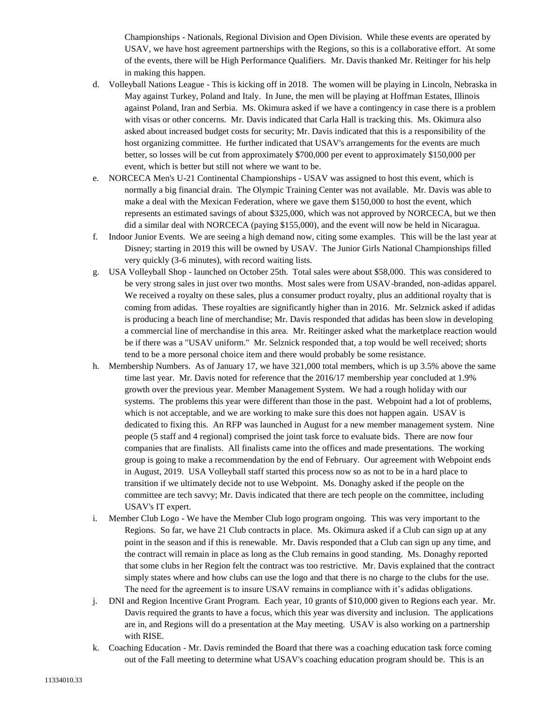Championships - Nationals, Regional Division and Open Division. While these events are operated by USAV, we have host agreement partnerships with the Regions, so this is a collaborative effort. At some of the events, there will be High Performance Qualifiers. Mr. Davis thanked Mr. Reitinger for his help in making this happen.

- d. Volleyball Nations League This is kicking off in 2018. The women will be playing in Lincoln, Nebraska in May against Turkey, Poland and Italy. In June, the men will be playing at Hoffman Estates, Illinois against Poland, Iran and Serbia. Ms. Okimura asked if we have a contingency in case there is a problem with visas or other concerns. Mr. Davis indicated that Carla Hall is tracking this. Ms. Okimura also asked about increased budget costs for security; Mr. Davis indicated that this is a responsibility of the host organizing committee. He further indicated that USAV's arrangements for the events are much better, so losses will be cut from approximately \$700,000 per event to approximately \$150,000 per event, which is better but still not where we want to be.
- e. NORCECA Men's U-21 Continental Championships USAV was assigned to host this event, which is normally a big financial drain. The Olympic Training Center was not available. Mr. Davis was able to make a deal with the Mexican Federation, where we gave them \$150,000 to host the event, which represents an estimated savings of about \$325,000, which was not approved by NORCECA, but we then did a similar deal with NORCECA (paying \$155,000), and the event will now be held in Nicaragua.
- f. Indoor Junior Events. We are seeing a high demand now, citing some examples. This will be the last year at Disney; starting in 2019 this will be owned by USAV. The Junior Girls National Championships filled very quickly (3-6 minutes), with record waiting lists.
- g. USA Volleyball Shop launched on October 25th. Total sales were about \$58,000. This was considered to be very strong sales in just over two months. Most sales were from USAV-branded, non-adidas apparel. We received a royalty on these sales, plus a consumer product royalty, plus an additional royalty that is coming from adidas. These royalties are significantly higher than in 2016. Mr. Selznick asked if adidas is producing a beach line of merchandise; Mr. Davis responded that adidas has been slow in developing a commercial line of merchandise in this area. Mr. Reitinger asked what the marketplace reaction would be if there was a "USAV uniform." Mr. Selznick responded that, a top would be well received; shorts tend to be a more personal choice item and there would probably be some resistance.
- h. Membership Numbers. As of January 17, we have 321,000 total members, which is up 3.5% above the same time last year. Mr. Davis noted for reference that the 2016/17 membership year concluded at 1.9% growth over the previous year. Member Management System. We had a rough holiday with our systems. The problems this year were different than those in the past. Webpoint had a lot of problems, which is not acceptable, and we are working to make sure this does not happen again. USAV is dedicated to fixing this. An RFP was launched in August for a new member management system. Nine people (5 staff and 4 regional) comprised the joint task force to evaluate bids. There are now four companies that are finalists. All finalists came into the offices and made presentations. The working group is going to make a recommendation by the end of February. Our agreement with Webpoint ends in August, 2019. USA Volleyball staff started this process now so as not to be in a hard place to transition if we ultimately decide not to use Webpoint. Ms. Donaghy asked if the people on the committee are tech savvy; Mr. Davis indicated that there are tech people on the committee, including USAV's IT expert.
- i. Member Club Logo We have the Member Club logo program ongoing. This was very important to the Regions. So far, we have 21 Club contracts in place. Ms. Okimura asked if a Club can sign up at any point in the season and if this is renewable. Mr. Davis responded that a Club can sign up any time, and the contract will remain in place as long as the Club remains in good standing. Ms. Donaghy reported that some clubs in her Region felt the contract was too restrictive. Mr. Davis explained that the contract simply states where and how clubs can use the logo and that there is no charge to the clubs for the use. The need for the agreement is to insure USAV remains in compliance with it's adidas obligations.
- j. DNI and Region Incentive Grant Program. Each year, 10 grants of \$10,000 given to Regions each year. Mr. Davis required the grants to have a focus, which this year was diversity and inclusion. The applications are in, and Regions will do a presentation at the May meeting. USAV is also working on a partnership with RISE.
- k. Coaching Education Mr. Davis reminded the Board that there was a coaching education task force coming out of the Fall meeting to determine what USAV's coaching education program should be. This is an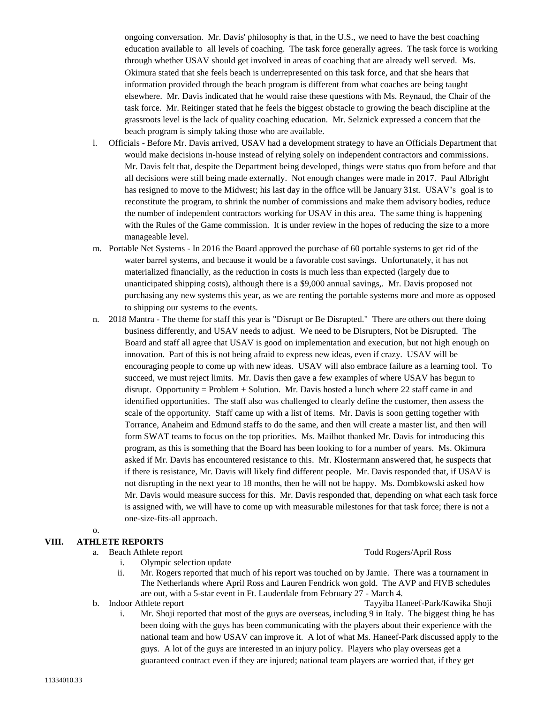ongoing conversation. Mr. Davis' philosophy is that, in the U.S., we need to have the best coaching education available to all levels of coaching. The task force generally agrees. The task force is working through whether USAV should get involved in areas of coaching that are already well served. Ms. Okimura stated that she feels beach is underrepresented on this task force, and that she hears that information provided through the beach program is different from what coaches are being taught elsewhere. Mr. Davis indicated that he would raise these questions with Ms. Reynaud, the Chair of the task force. Mr. Reitinger stated that he feels the biggest obstacle to growing the beach discipline at the grassroots level is the lack of quality coaching education. Mr. Selznick expressed a concern that the beach program is simply taking those who are available.

- l. Officials Before Mr. Davis arrived, USAV had a development strategy to have an Officials Department that would make decisions in-house instead of relying solely on independent contractors and commissions. Mr. Davis felt that, despite the Department being developed, things were status quo from before and that all decisions were still being made externally. Not enough changes were made in 2017. Paul Albright has resigned to move to the Midwest; his last day in the office will be January 31st. USAV's goal is to reconstitute the program, to shrink the number of commissions and make them advisory bodies, reduce the number of independent contractors working for USAV in this area. The same thing is happening with the Rules of the Game commission. It is under review in the hopes of reducing the size to a more manageable level.
- m. Portable Net Systems In 2016 the Board approved the purchase of 60 portable systems to get rid of the water barrel systems, and because it would be a favorable cost savings. Unfortunately, it has not materialized financially, as the reduction in costs is much less than expected (largely due to unanticipated shipping costs), although there is a \$9,000 annual savings,. Mr. Davis proposed not purchasing any new systems this year, as we are renting the portable systems more and more as opposed to shipping our systems to the events.
- n. 2018 Mantra The theme for staff this year is "Disrupt or Be Disrupted." There are others out there doing business differently, and USAV needs to adjust. We need to be Disrupters, Not be Disrupted. The Board and staff all agree that USAV is good on implementation and execution, but not high enough on innovation. Part of this is not being afraid to express new ideas, even if crazy. USAV will be encouraging people to come up with new ideas. USAV will also embrace failure as a learning tool. To succeed, we must reject limits. Mr. Davis then gave a few examples of where USAV has begun to disrupt. Opportunity = Problem + Solution. Mr. Davis hosted a lunch where 22 staff came in and identified opportunities. The staff also was challenged to clearly define the customer, then assess the scale of the opportunity. Staff came up with a list of items. Mr. Davis is soon getting together with Torrance, Anaheim and Edmund staffs to do the same, and then will create a master list, and then will form SWAT teams to focus on the top priorities. Ms. Mailhot thanked Mr. Davis for introducing this program, as this is something that the Board has been looking to for a number of years. Ms. Okimura asked if Mr. Davis has encountered resistance to this. Mr. Klostermann answered that, he suspects that if there is resistance, Mr. Davis will likely find different people. Mr. Davis responded that, if USAV is not disrupting in the next year to 18 months, then he will not be happy. Ms. Dombkowski asked how Mr. Davis would measure success for this. Mr. Davis responded that, depending on what each task force is assigned with, we will have to come up with measurable milestones for that task force; there is not a one-size-fits-all approach.

### o.

# **VIII. ATHLETE REPORTS**

### a. Beach Athlete report Todd Rogers/April Ross

- i. Olympic selection update
- ii. Mr. Rogers reported that much of his report was touched on by Jamie. There was a tournament in The Netherlands where April Ross and Lauren Fendrick won gold. The AVP and FIVB schedules are out, with a 5-star event in Ft. Lauderdale from February 27 - March 4.
- b. Indoor Athlete report Tayyiba Haneef-Park/Kawika Shoji

i. Mr. Shoji reported that most of the guys are overseas, including 9 in Italy. The biggest thing he has been doing with the guys has been communicating with the players about their experience with the national team and how USAV can improve it. A lot of what Ms. Haneef-Park discussed apply to the guys. A lot of the guys are interested in an injury policy. Players who play overseas get a guaranteed contract even if they are injured; national team players are worried that, if they get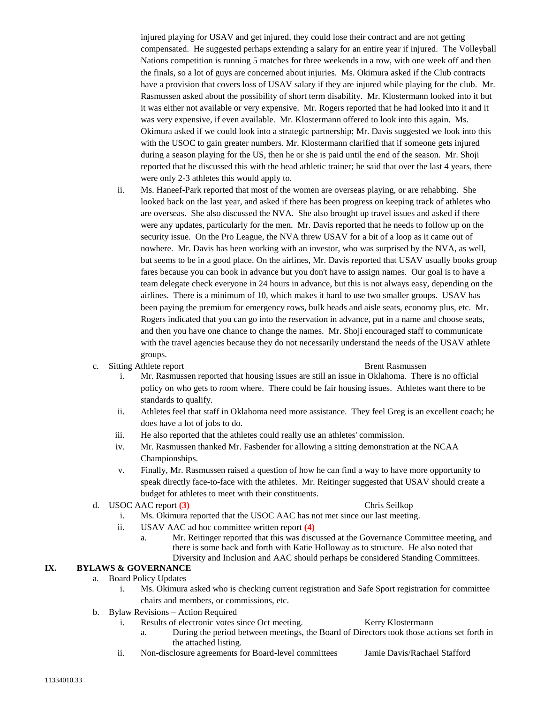injured playing for USAV and get injured, they could lose their contract and are not getting compensated. He suggested perhaps extending a salary for an entire year if injured. The Volleyball Nations competition is running 5 matches for three weekends in a row, with one week off and then the finals, so a lot of guys are concerned about injuries. Ms. Okimura asked if the Club contracts have a provision that covers loss of USAV salary if they are injured while playing for the club. Mr. Rasmussen asked about the possibility of short term disability. Mr. Klostermann looked into it but it was either not available or very expensive. Mr. Rogers reported that he had looked into it and it was very expensive, if even available. Mr. Klostermann offered to look into this again. Ms. Okimura asked if we could look into a strategic partnership; Mr. Davis suggested we look into this with the USOC to gain greater numbers. Mr. Klostermann clarified that if someone gets injured during a season playing for the US, then he or she is paid until the end of the season. Mr. Shoji reported that he discussed this with the head athletic trainer; he said that over the last 4 years, there were only 2-3 athletes this would apply to.

ii. Ms. Haneef-Park reported that most of the women are overseas playing, or are rehabbing. She looked back on the last year, and asked if there has been progress on keeping track of athletes who are overseas. She also discussed the NVA. She also brought up travel issues and asked if there were any updates, particularly for the men. Mr. Davis reported that he needs to follow up on the security issue. On the Pro League, the NVA threw USAV for a bit of a loop as it came out of nowhere. Mr. Davis has been working with an investor, who was surprised by the NVA, as well, but seems to be in a good place. On the airlines, Mr. Davis reported that USAV usually books group fares because you can book in advance but you don't have to assign names. Our goal is to have a team delegate check everyone in 24 hours in advance, but this is not always easy, depending on the airlines. There is a minimum of 10, which makes it hard to use two smaller groups. USAV has been paying the premium for emergency rows, bulk heads and aisle seats, economy plus, etc. Mr. Rogers indicated that you can go into the reservation in advance, put in a name and choose seats, and then you have one chance to change the names. Mr. Shoji encouraged staff to communicate with the travel agencies because they do not necessarily understand the needs of the USAV athlete groups.

## c. Sitting Athlete report **Brent Rasmussen**

- i. Mr. Rasmussen reported that housing issues are still an issue in Oklahoma. There is no official policy on who gets to room where. There could be fair housing issues. Athletes want there to be standards to qualify.
- ii. Athletes feel that staff in Oklahoma need more assistance. They feel Greg is an excellent coach; he does have a lot of jobs to do.
- iii. He also reported that the athletes could really use an athletes' commission.
- iv. Mr. Rasmussen thanked Mr. Fasbender for allowing a sitting demonstration at the NCAA Championships.
- v. Finally, Mr. Rasmussen raised a question of how he can find a way to have more opportunity to speak directly face-to-face with the athletes. Mr. Reitinger suggested that USAV should create a budget for athletes to meet with their constituents.

## d. USOC AAC report **(3)** Chris Seilkop

- i. Ms. Okimura reported that the USOC AAC has not met since our last meeting.
- ii. USAV AAC ad hoc committee written report **(4)**
	- a. Mr. Reitinger reported that this was discussed at the Governance Committee meeting, and there is some back and forth with Katie Holloway as to structure. He also noted that

## Diversity and Inclusion and AAC should perhaps be considered Standing Committees.

## **IX. BYLAWS & GOVERNANCE**

- a. Board Policy Updates
	- i. Ms. Okimura asked who is checking current registration and Safe Sport registration for committee chairs and members, or commissions, etc.
- b. Bylaw Revisions Action Required
	- i. Results of electronic votes since Oct meeting. Kerry Klostermann
		- a. During the period between meetings, the Board of Directors took those actions set forth in the attached listing.
	- ii. Non-disclosure agreements for Board-level committees Jamie Davis/Rachael Stafford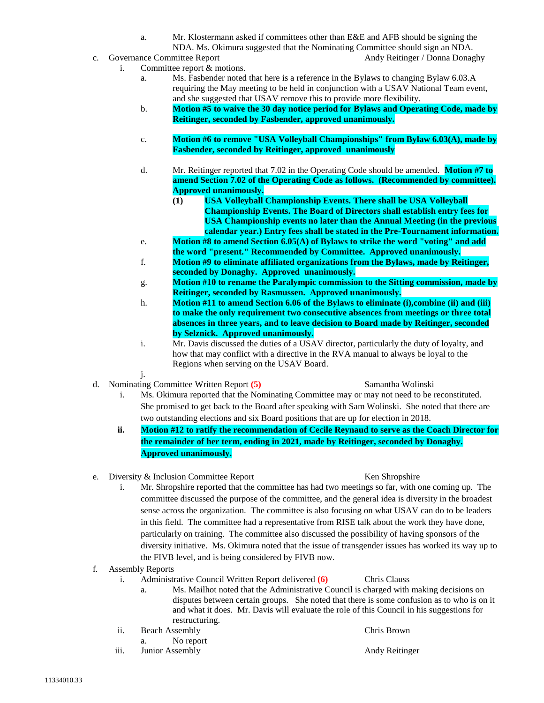a. Mr. Klostermann asked if committees other than E&E and AFB should be signing the

NDA. Ms. Okimura suggested that the Nominating Committee should sign an NDA.

- c. Governance Committee Report **Andy Reitinger / Donna Donaghy** Andy Reitinger / Donna Donaghy
	- i. Committee report & motions.
		- a. Ms. Fasbender noted that here is a reference in the Bylaws to changing Bylaw 6.03.A requiring the May meeting to be held in conjunction with a USAV National Team event, and she suggested that USAV remove this to provide more flexibility.
		- b. **Motion #5 to waive the 30 day notice period for Bylaws and Operating Code, made by Reitinger, seconded by Fasbender, approved unanimously.**
		- c. **Motion #6 to remove "USA Volleyball Championships" from Bylaw 6.03(A), made by Fasbender, seconded by Reitinger, approved unanimously**
		- d. Mr. Reitinger reported that 7.02 in the Operating Code should be amended. **Motion #7 to amend Section 7.02 of the Operating Code as follows. (Recommended by committee). Approved unanimously.** 
			- **(1) USA Volleyball Championship Events. There shall be USA Volleyball Championship Events. The Board of Directors shall establish entry fees for USA Championship events no later than the Annual Meeting (in the previous calendar year.) Entry fees shall be stated in the Pre-Tournament information.**
		- e. **Motion #8 to amend Section 6.05(A) of Bylaws to strike the word "voting" and add the word "present." Recommended by Committee. Approved unanimously.**
		- f. **Motion #9 to eliminate affiliated organizations from the Bylaws, made by Reitinger, seconded by Donaghy. Approved unanimously.**
		- g. **Motion #10 to rename the Paralympic commission to the Sitting commission, made by Reitinger, seconded by Rasmussen. Approved unanimously.**
		- h. **Motion #11 to amend Section 6.06 of the Bylaws to eliminate (i),combine (ii) and (iii) to make the only requirement two consecutive absences from meetings or three total absences in three years, and to leave decision to Board made by Reitinger, seconded by Selznick. Approved unanimously.**
		- i. Mr. Davis discussed the duties of a USAV director, particularly the duty of loyalty, and how that may conflict with a directive in the RVA manual to always be loyal to the Regions when serving on the USAV Board.
		- j.
- d. Nominating Committee Written Report **(5)** Samantha Wolinski
	-
	- i. Ms. Okimura reported that the Nominating Committee may or may not need to be reconstituted. She promised to get back to the Board after speaking with Sam Wolinski. She noted that there are two outstanding elections and six Board positions that are up for election in 2018.
	- **ii. Motion #12 to ratify the recommendation of Cecile Reynaud to serve as the Coach Director for the remainder of her term, ending in 2021, made by Reitinger, seconded by Donaghy. Approved unanimously.**
- e. Diversity & Inclusion Committee Report Ken Shropshire
	- i. Mr. Shropshire reported that the committee has had two meetings so far, with one coming up. The committee discussed the purpose of the committee, and the general idea is diversity in the broadest sense across the organization. The committee is also focusing on what USAV can do to be leaders in this field. The committee had a representative from RISE talk about the work they have done, particularly on training. The committee also discussed the possibility of having sponsors of the diversity initiative. Ms. Okimura noted that the issue of transgender issues has worked its way up to the FIVB level, and is being considered by FIVB now.
- f. Assembly Reports
	- i. Administrative Council Written Report delivered **(6)** Chris Clauss
		- a. Ms. Mailhot noted that the Administrative Council is charged with making decisions on disputes between certain groups. She noted that there is some confusion as to who is on it and what it does. Mr. Davis will evaluate the role of this Council in his suggestions for restructuring.
	- ii. Beach Assembly Chris Brown
		- a. No report
	- iii. Junior Assembly **Andy Reitinger** Andy Reitinger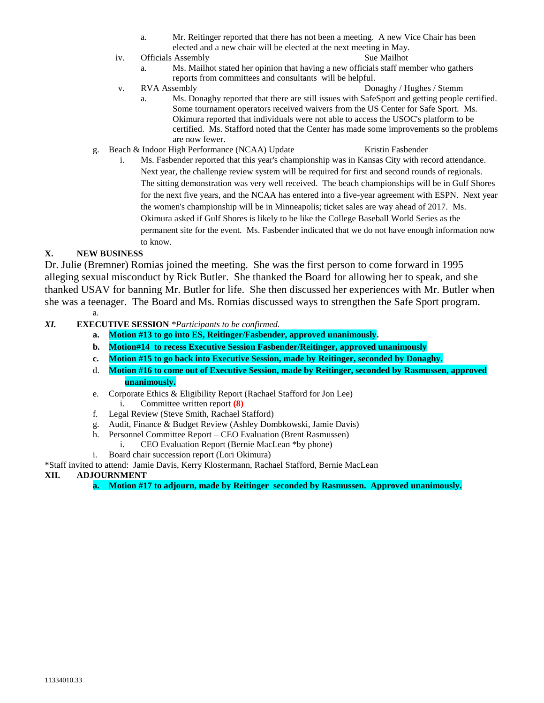- a. Mr. Reitinger reported that there has not been a meeting. A new Vice Chair has been elected and a new chair will be elected at the next meeting in May.
- iv. Officials Assembly Sue Mailhot
	- a. Ms. Mailhot stated her opinion that having a new officials staff member who gathers reports from committees and consultants will be helpful.
- v. RVA Assembly Donaghy / Hughes / Stemm a. Ms. Donaghy reported that there are still issues with SafeSport and getting people certified. Some tournament operators received waivers from the US Center for Safe Sport. Ms. Okimura reported that individuals were not able to access the USOC's platform to be certified. Ms. Stafford noted that the Center has made some improvements so the problems are now fewer.
- g. Beach & Indoor High Performance (NCAA) Update Kristin Fasbender
	- i. Ms. Fasbender reported that this year's championship was in Kansas City with record attendance. Next year, the challenge review system will be required for first and second rounds of regionals. The sitting demonstration was very well received. The beach championships will be in Gulf Shores for the next five years, and the NCAA has entered into a five-year agreement with ESPN. Next year the women's championship will be in Minneapolis; ticket sales are way ahead of 2017. Ms. Okimura asked if Gulf Shores is likely to be like the College Baseball World Series as the permanent site for the event. Ms. Fasbender indicated that we do not have enough information now to know.

# **X. NEW BUSINESS**

Dr. Julie (Bremner) Romias joined the meeting. She was the first person to come forward in 1995 alleging sexual misconduct by Rick Butler. She thanked the Board for allowing her to speak, and she thanked USAV for banning Mr. Butler for life. She then discussed her experiences with Mr. Butler when she was a teenager. The Board and Ms. Romias discussed ways to strengthen the Safe Sport program.

a.

- *XI.* **EXECUTIVE SESSION** *\*Participants to be confirmed.*
	- **a. Motion #13 to go into ES, Reitinger/Fasbender, approved unanimously.**
	- **b. Motion#14 to recess Executive Session Fasbender/Reitinger, approved unanimously**
	- **c. Motion #15 to go back into Executive Session, made by Reitinger, seconded by Donaghy.**
	- d. **Motion #16 to come out of Executive Session, made by Reitinger, seconded by Rasmussen, approved unanimously.**
	- e. Corporate Ethics & Eligibility Report (Rachael Stafford for Jon Lee)
		- i. Committee written report **(8)**
	- f. Legal Review (Steve Smith, Rachael Stafford)
	- g. Audit, Finance & Budget Review (Ashley Dombkowski, Jamie Davis)
	- h. Personnel Committee Report CEO Evaluation (Brent Rasmussen)
		- i. CEO Evaluation Report (Bernie MacLean \*by phone)
	- i. Board chair succession report (Lori Okimura)

## \*Staff invited to attend: Jamie Davis, Kerry Klostermann, Rachael Stafford, Bernie MacLean

## **XII. ADJOURNMENT**

**a. Motion #17 to adjourn, made by Reitinger seconded by Rasmussen. Approved unanimously.**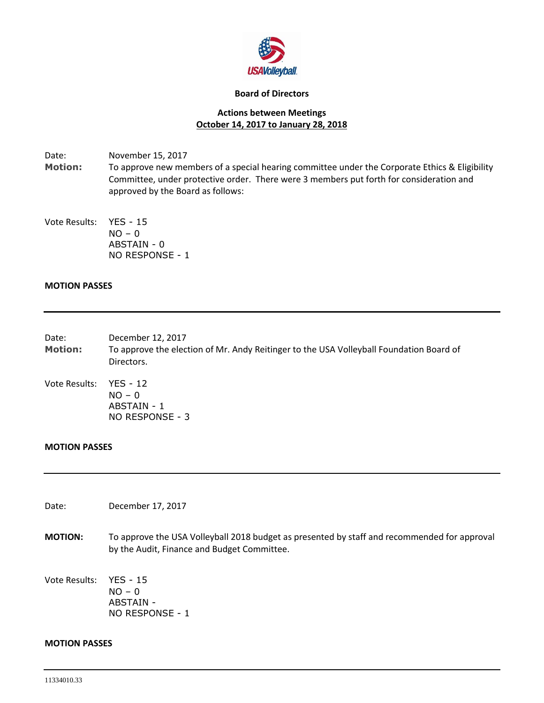

## **Board of Directors**

# **Actions between Meetings October 14, 2017 to January 28, 2018**

Date: November 15, 2017 **Motion:** To approve new members of a special hearing committee under the Corporate Ethics & Eligibility Committee, under protective order. There were 3 members put forth for consideration and approved by the Board as follows:

Vote Results: YES - 15  $NO - 0$ ABSTAIN - 0 NO RESPONSE - 1

# **MOTION PASSES**

- Date: December 12, 2017 **Motion:** To approve the election of Mr. Andy Reitinger to the USA Volleyball Foundation Board of Directors.
- Vote Results: YES 12  $NO - 0$ ABSTAIN - 1 NO RESPONSE - 3

# **MOTION PASSES**

Date: December 17, 2017

**MOTION:** To approve the USA Volleyball 2018 budget as presented by staff and recommended for approval by the Audit, Finance and Budget Committee.

Vote Results: YES - 15  $NO - 0$ ABSTAIN - NO RESPONSE - 1

## **MOTION PASSES**